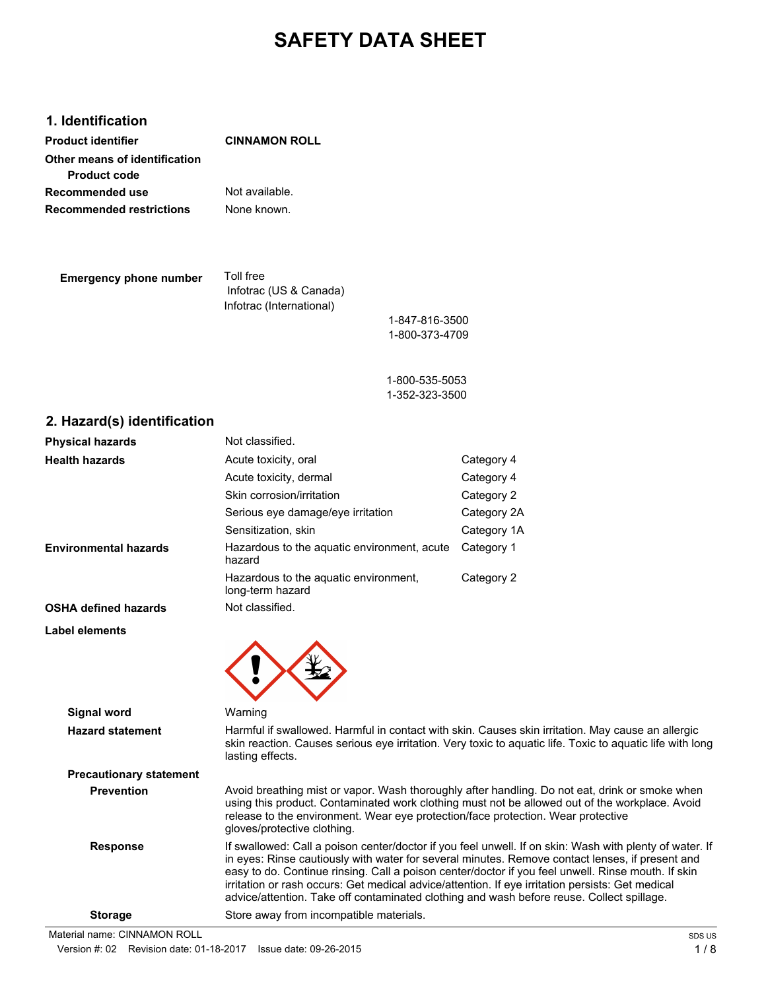# **SAFETY DATA SHEET**

# **1. Identification**

| <b>Product identifier</b>       | <b>CINNAMON ROLL</b> |
|---------------------------------|----------------------|
| Other means of identification   |                      |
| <b>Product code</b>             |                      |
| Recommended use                 | Not available.       |
| <b>Recommended restrictions</b> | None known.          |
|                                 |                      |
|                                 |                      |

| <b>Emergency phone number</b> | Toll free                |
|-------------------------------|--------------------------|
|                               | Infotrac (US & Canada)   |
|                               | Infotrac (International) |

1-847-816-3500 1-800-373-4709

1-800-535-5053 1-352-323-3500

# **2. Hazard(s) identification**

| <b>Physical hazards</b>      | Not classified.                                           |             |
|------------------------------|-----------------------------------------------------------|-------------|
| <b>Health hazards</b>        | Acute toxicity, oral                                      | Category 4  |
|                              | Acute toxicity, dermal                                    | Category 4  |
|                              | Skin corrosion/irritation                                 | Category 2  |
|                              | Serious eye damage/eye irritation                         | Category 2A |
|                              | Sensitization, skin                                       | Category 1A |
| <b>Environmental hazards</b> | Hazardous to the aquatic environment, acute<br>hazard     | Category 1  |
|                              | Hazardous to the aquatic environment,<br>long-term hazard | Category 2  |
| <b>OSHA defined hazards</b>  | Not classified.                                           |             |
| Label elements               |                                                           |             |
|                              |                                                           |             |



| <b>Signal word</b>             | Warning                                                                                                                                                                                                                                                                                                                                                                                                                                                                                                           |
|--------------------------------|-------------------------------------------------------------------------------------------------------------------------------------------------------------------------------------------------------------------------------------------------------------------------------------------------------------------------------------------------------------------------------------------------------------------------------------------------------------------------------------------------------------------|
| <b>Hazard statement</b>        | Harmful if swallowed. Harmful in contact with skin. Causes skin irritation. May cause an allergic<br>skin reaction. Causes serious eye irritation. Very toxic to aquatic life. Toxic to aquatic life with long<br>lasting effects.                                                                                                                                                                                                                                                                                |
| <b>Precautionary statement</b> |                                                                                                                                                                                                                                                                                                                                                                                                                                                                                                                   |
| <b>Prevention</b>              | Avoid breathing mist or vapor. Wash thoroughly after handling. Do not eat, drink or smoke when<br>using this product. Contaminated work clothing must not be allowed out of the workplace. Avoid<br>release to the environment. Wear eye protection/face protection. Wear protective<br>aloves/protective clothing.                                                                                                                                                                                               |
| <b>Response</b>                | If swallowed: Call a poison center/doctor if you feel unwell. If on skin: Wash with plenty of water. If<br>in eyes: Rinse cautiously with water for several minutes. Remove contact lenses, if present and<br>easy to do. Continue rinsing. Call a poison center/doctor if you feel unwell. Rinse mouth. If skin<br>irritation or rash occurs: Get medical advice/attention. If eye irritation persists: Get medical<br>advice/attention. Take off contaminated clothing and wash before reuse. Collect spillage. |
| <b>Storage</b>                 | Store away from incompatible materials.                                                                                                                                                                                                                                                                                                                                                                                                                                                                           |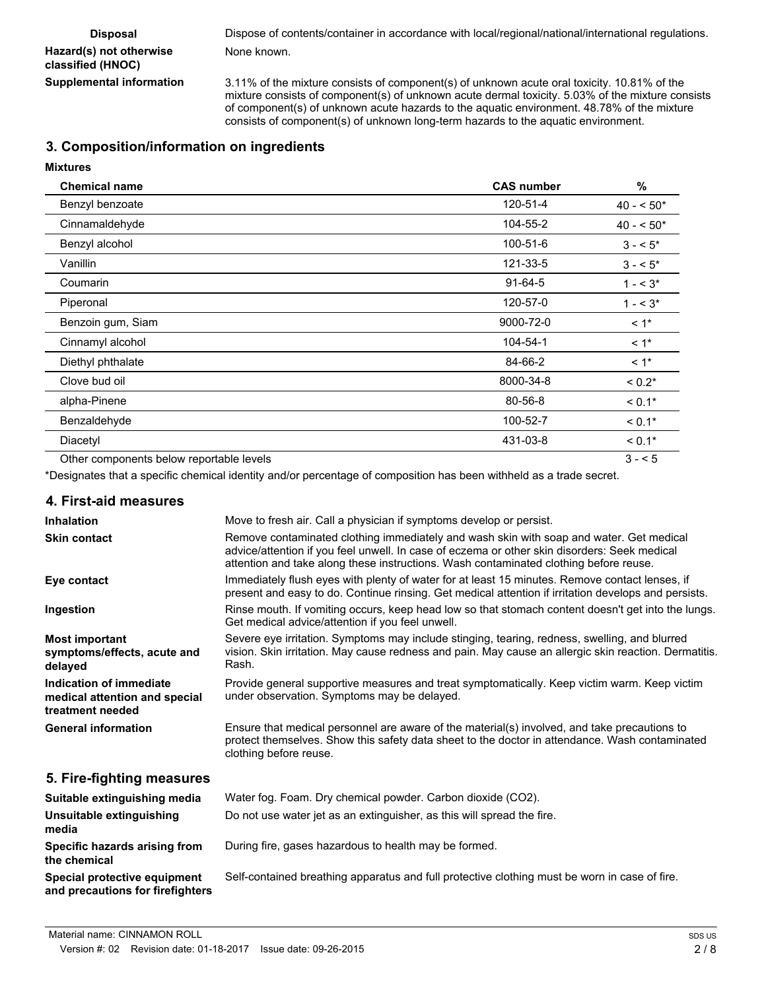| <b>Disposal</b>                              | Dispose of contents/container in accordance with local/regional/national/international regulations.                                                                                                                |
|----------------------------------------------|--------------------------------------------------------------------------------------------------------------------------------------------------------------------------------------------------------------------|
| Hazard(s) not otherwise<br>classified (HNOC) | None known.                                                                                                                                                                                                        |
| Supplemental information                     | 3.11% of the mixture consists of component(s) of unknown acute oral toxicity. 10.81% of the<br>activities in a state of a second on a state of content common second to detect the COON of the condition of second |

mixture consists of component(s) of unknown acute dermal toxicity. 5.03% of the mixture consists of component(s) of unknown acute hazards to the aquatic environment. 48.78% of the mixture consists of component(s) of unknown long-term hazards to the aquatic environment.

# **3. Composition/information on ingredients**

# **Mixtures**

| <b>Chemical name</b>                     | <b>CAS number</b> | %          |
|------------------------------------------|-------------------|------------|
| Benzyl benzoate                          | 120-51-4          | $40 - 50*$ |
| Cinnamaldehyde                           | 104-55-2          | $40 - 50*$ |
| Benzyl alcohol                           | 100-51-6          | $3 - 5^*$  |
| Vanillin                                 | 121-33-5          | $3 - 5^*$  |
| Coumarin                                 | $91-64-5$         | $1 - 3^*$  |
| Piperonal                                | 120-57-0          | $1 - 3^*$  |
| Benzoin gum, Siam                        | 9000-72-0         | $< 1$ *    |
| Cinnamyl alcohol                         | 104-54-1          | $< 1$ *    |
| Diethyl phthalate                        | 84-66-2           | $< 1$ *    |
| Clove bud oil                            | 8000-34-8         | $< 0.2*$   |
| alpha-Pinene                             | 80-56-8           | $< 0.1*$   |
| Benzaldehyde                             | 100-52-7          | $< 0.1*$   |
| Diacetyl                                 | 431-03-8          | $< 0.1*$   |
| Other components below reportable levels |                   | $3 - 5$    |

\*Designates that a specific chemical identity and/or percentage of composition has been withheld as a trade secret.

### **4. First-aid measures**

| <b>Inhalation</b>                                                            | Move to fresh air. Call a physician if symptoms develop or persist.                                                                                                                                                                                                              |
|------------------------------------------------------------------------------|----------------------------------------------------------------------------------------------------------------------------------------------------------------------------------------------------------------------------------------------------------------------------------|
| <b>Skin contact</b>                                                          | Remove contaminated clothing immediately and wash skin with soap and water. Get medical<br>advice/attention if you feel unwell. In case of eczema or other skin disorders: Seek medical<br>attention and take along these instructions. Wash contaminated clothing before reuse. |
| Eye contact                                                                  | Immediately flush eyes with plenty of water for at least 15 minutes. Remove contact lenses, if<br>present and easy to do. Continue rinsing. Get medical attention if irritation develops and persists.                                                                           |
| Ingestion                                                                    | Rinse mouth. If vomiting occurs, keep head low so that stomach content doesn't get into the lungs.<br>Get medical advice/attention if you feel unwell.                                                                                                                           |
| <b>Most important</b><br>symptoms/effects, acute and<br>delayed              | Severe eye irritation. Symptoms may include stinging, tearing, redness, swelling, and blurred<br>vision. Skin irritation. May cause redness and pain. May cause an allergic skin reaction. Dermatitis.<br>Rash.                                                                  |
| Indication of immediate<br>medical attention and special<br>treatment needed | Provide general supportive measures and treat symptomatically. Keep victim warm. Keep victim<br>under observation. Symptoms may be delayed.                                                                                                                                      |
| <b>General information</b>                                                   | Ensure that medical personnel are aware of the material(s) involved, and take precautions to<br>protect themselves. Show this safety data sheet to the doctor in attendance. Wash contaminated<br>clothing before reuse.                                                         |
| 5. Fire-fighting measures                                                    |                                                                                                                                                                                                                                                                                  |
| Suitable extinguishing media                                                 | Water fog. Foam. Dry chemical powder. Carbon dioxide (CO2).                                                                                                                                                                                                                      |
| Unsuitable extinguishing<br>media                                            | Do not use water jet as an extinguisher, as this will spread the fire.                                                                                                                                                                                                           |
| Specific hazards arising from<br>the chemical                                | During fire, gases hazardous to health may be formed.                                                                                                                                                                                                                            |

**Special protective equipment** Self-contained breathing apparatus and full protective clothing must be worn in case of fire.

**and precautions for firefighters**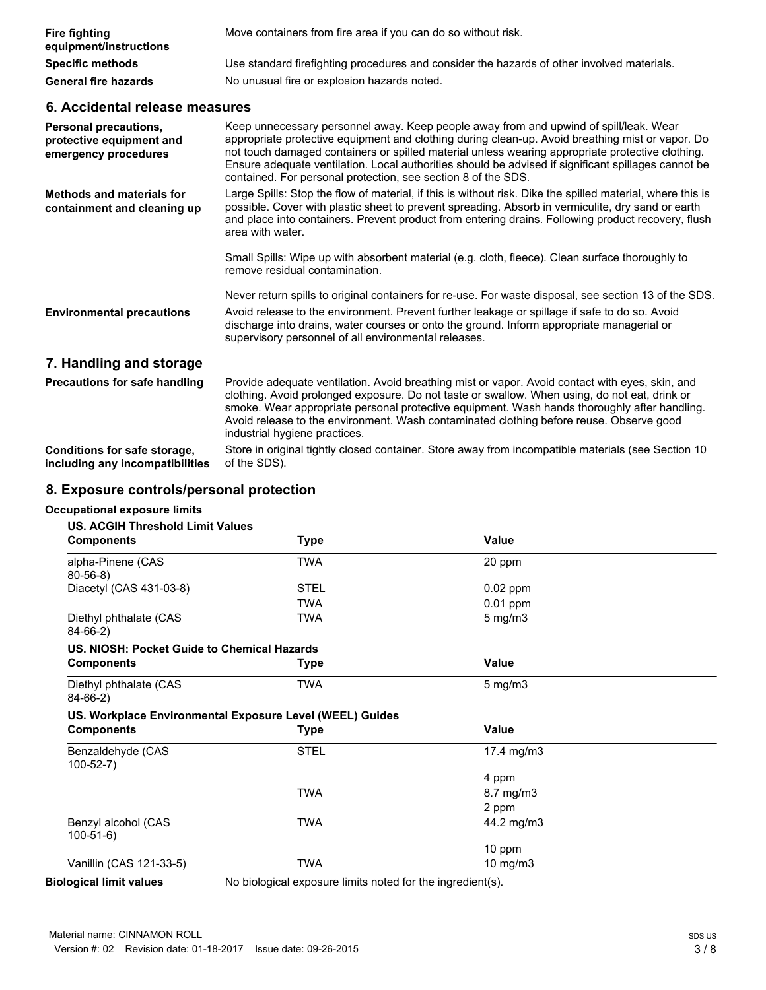| <b>Fire fighting</b><br>equipment/instructions | Move containers from fire area if you can do so without risk.                              |
|------------------------------------------------|--------------------------------------------------------------------------------------------|
| <b>Specific methods</b>                        | Use standard firefighting procedures and consider the hazards of other involved materials. |
| <b>General fire hazards</b>                    | No unusual fire or explosion hazards noted.                                                |

# **6. Accidental release measures**

| Personal precautions,<br>protective equipment and<br>emergency procedures | Keep unnecessary personnel away. Keep people away from and upwind of spill/leak. Wear<br>appropriate protective equipment and clothing during clean-up. Avoid breathing mist or vapor. Do<br>not touch damaged containers or spilled material unless wearing appropriate protective clothing.<br>Ensure adequate ventilation. Local authorities should be advised if significant spillages cannot be<br>contained. For personal protection, see section 8 of the SDS. |
|---------------------------------------------------------------------------|-----------------------------------------------------------------------------------------------------------------------------------------------------------------------------------------------------------------------------------------------------------------------------------------------------------------------------------------------------------------------------------------------------------------------------------------------------------------------|
| <b>Methods and materials for</b><br>containment and cleaning up           | Large Spills: Stop the flow of material, if this is without risk. Dike the spilled material, where this is<br>possible. Cover with plastic sheet to prevent spreading. Absorb in vermiculite, dry sand or earth<br>and place into containers. Prevent product from entering drains. Following product recovery, flush<br>area with water.                                                                                                                             |
|                                                                           | Small Spills: Wipe up with absorbent material (e.g. cloth, fleece). Clean surface thoroughly to<br>remove residual contamination.                                                                                                                                                                                                                                                                                                                                     |
| <b>Environmental precautions</b>                                          | Never return spills to original containers for re-use. For waste disposal, see section 13 of the SDS.<br>Avoid release to the environment. Prevent further leakage or spillage if safe to do so. Avoid<br>discharge into drains, water courses or onto the ground. Inform appropriate managerial or<br>supervisory personnel of all environmental releases.                                                                                                           |
| 7. Handling and storage                                                   |                                                                                                                                                                                                                                                                                                                                                                                                                                                                       |
| Precautions for safe handling                                             | Provide adequate ventilation. Avoid breathing mist or vapor. Avoid contact with eyes, skin, and<br>clothing. Avoid prolonged exposure. Do not taste or swallow. When using, do not eat, drink or<br>smoke. Wear appropriate personal protective equipment. Wash hands thoroughly after handling.<br>Avoid release to the environment. Wash contaminated clothing before reuse. Observe good<br>industrial hygiene practices.                                          |
| Conditions for safe storage,                                              | Store in original tightly closed container. Store away from incompatible materials (see Section 10                                                                                                                                                                                                                                                                                                                                                                    |

of the SDS). **including any incompatibilities**

# **8. Exposure controls/personal protection**

# **Occupational exposure limits**

|  |  | US. ACGIH Threshold Limit Values |
|--|--|----------------------------------|
|--|--|----------------------------------|

| 03. ACGII I IIII ESHUIU LIIIIII VAIUES<br><b>Components</b> | <b>Type</b>                                                | Value            |  |
|-------------------------------------------------------------|------------------------------------------------------------|------------------|--|
| alpha-Pinene (CAS<br>$80-56-8$                              | TWA                                                        | 20 ppm           |  |
| Diacetyl (CAS 431-03-8)                                     | <b>STEL</b>                                                | $0.02$ ppm       |  |
|                                                             | TWA                                                        | $0.01$ ppm       |  |
| Diethyl phthalate (CAS<br>$84-66-2)$                        | TWA                                                        | $5 \text{ mg/m}$ |  |
| US. NIOSH: Pocket Guide to Chemical Hazards                 |                                                            |                  |  |
| <b>Components</b>                                           | Type                                                       | Value            |  |
| Diethyl phthalate (CAS<br>84-66-2)                          | TWA                                                        | $5 \text{ mg/m}$ |  |
|                                                             | US. Workplace Environmental Exposure Level (WEEL) Guides   |                  |  |
| <b>Components</b>                                           | <b>Type</b>                                                | Value            |  |
| Benzaldehyde (CAS<br>$100-52-7)$                            | <b>STEL</b>                                                | 17.4 mg/m $3$    |  |
|                                                             |                                                            | 4 ppm            |  |
|                                                             | <b>TWA</b>                                                 | 8.7 mg/m3        |  |
|                                                             |                                                            | 2 ppm            |  |
| Benzyl alcohol (CAS<br>$100-51-6$                           | TWA                                                        | 44.2 mg/m3       |  |
|                                                             |                                                            | 10 ppm           |  |
| Vanillin (CAS 121-33-5)                                     | <b>TWA</b>                                                 | 10 mg/m $3$      |  |
| <b>Biological limit values</b>                              | No biological exposure limits noted for the ingredient(s). |                  |  |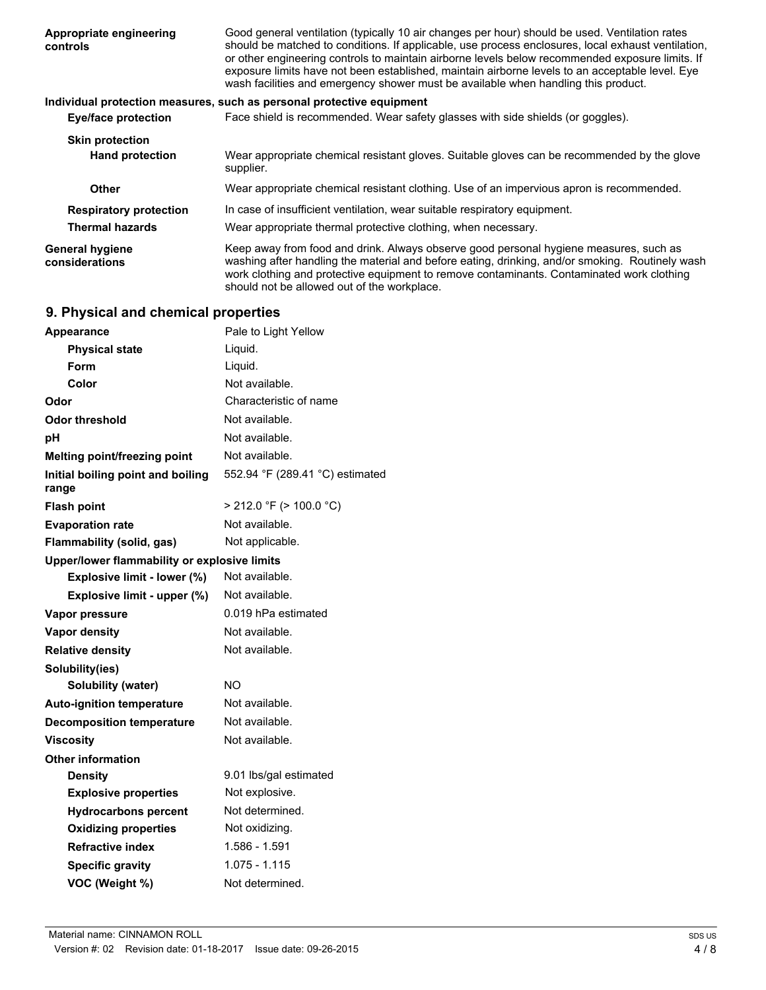| Appropriate engineering<br>controls                     | Good general ventilation (typically 10 air changes per hour) should be used. Ventilation rates<br>should be matched to conditions. If applicable, use process enclosures, local exhaust ventilation,<br>or other engineering controls to maintain airborne levels below recommended exposure limits. If<br>exposure limits have not been established, maintain airborne levels to an acceptable level. Eye<br>wash facilities and emergency shower must be available when handling this product. |
|---------------------------------------------------------|--------------------------------------------------------------------------------------------------------------------------------------------------------------------------------------------------------------------------------------------------------------------------------------------------------------------------------------------------------------------------------------------------------------------------------------------------------------------------------------------------|
|                                                         | Individual protection measures, such as personal protective equipment                                                                                                                                                                                                                                                                                                                                                                                                                            |
| Eye/face protection                                     | Face shield is recommended. Wear safety glasses with side shields (or goggles).                                                                                                                                                                                                                                                                                                                                                                                                                  |
| <b>Skin protection</b><br><b>Hand protection</b>        | Wear appropriate chemical resistant gloves. Suitable gloves can be recommended by the glove<br>supplier.                                                                                                                                                                                                                                                                                                                                                                                         |
| Other                                                   | Wear appropriate chemical resistant clothing. Use of an impervious apron is recommended.                                                                                                                                                                                                                                                                                                                                                                                                         |
| <b>Respiratory protection</b><br><b>Thermal hazards</b> | In case of insufficient ventilation, wear suitable respiratory equipment.<br>Wear appropriate thermal protective clothing, when necessary.                                                                                                                                                                                                                                                                                                                                                       |
| <b>General hygiene</b><br>considerations                | Keep away from food and drink. Always observe good personal hygiene measures, such as<br>washing after handling the material and before eating, drinking, and/or smoking. Routinely wash<br>work clothing and protective equipment to remove contaminants. Contaminated work clothing<br>should not be allowed out of the workplace.                                                                                                                                                             |

# **9. Physical and chemical properties**

| <b>Appearance</b>                            | Pale to Light Yellow            |
|----------------------------------------------|---------------------------------|
| <b>Physical state</b>                        | Liquid.                         |
| Form                                         | Liquid.                         |
| Color                                        | Not available.                  |
| Odor                                         | Characteristic of name          |
| Odor threshold                               | Not available.                  |
| рH                                           | Not available.                  |
| Melting point/freezing point                 | Not available.                  |
| Initial boiling point and boiling<br>range   | 552.94 °F (289.41 °C) estimated |
| <b>Flash point</b>                           | $>$ 212.0 °F ( $>$ 100.0 °C)    |
| <b>Evaporation rate</b>                      | Not available.                  |
| <b>Flammability (solid, gas)</b>             | Not applicable.                 |
| Upper/lower flammability or explosive limits |                                 |
| Explosive limit - lower (%)                  | Not available.                  |
| Explosive limit - upper (%)                  | Not available.                  |
| Vapor pressure                               | 0.019 hPa estimated             |
| <b>Vapor density</b>                         | Not available.                  |
| <b>Relative density</b>                      | Not available.                  |
| Solubility(ies)                              |                                 |
| Solubility (water)                           | NO.                             |
| <b>Auto-ignition temperature</b>             | Not available.                  |
| <b>Decomposition temperature</b>             | Not available.                  |
| <b>Viscosity</b>                             | Not available.                  |
| <b>Other information</b>                     |                                 |
| <b>Density</b>                               | 9.01 lbs/gal estimated          |
| <b>Explosive properties</b>                  | Not explosive.                  |
| <b>Hydrocarbons percent</b>                  | Not determined.                 |
| <b>Oxidizing properties</b>                  | Not oxidizing.                  |
| <b>Refractive index</b>                      | 1.586 - 1.591                   |
| <b>Specific gravity</b>                      | 1.075 - 1.115                   |
| VOC (Weight %)                               | Not determined.                 |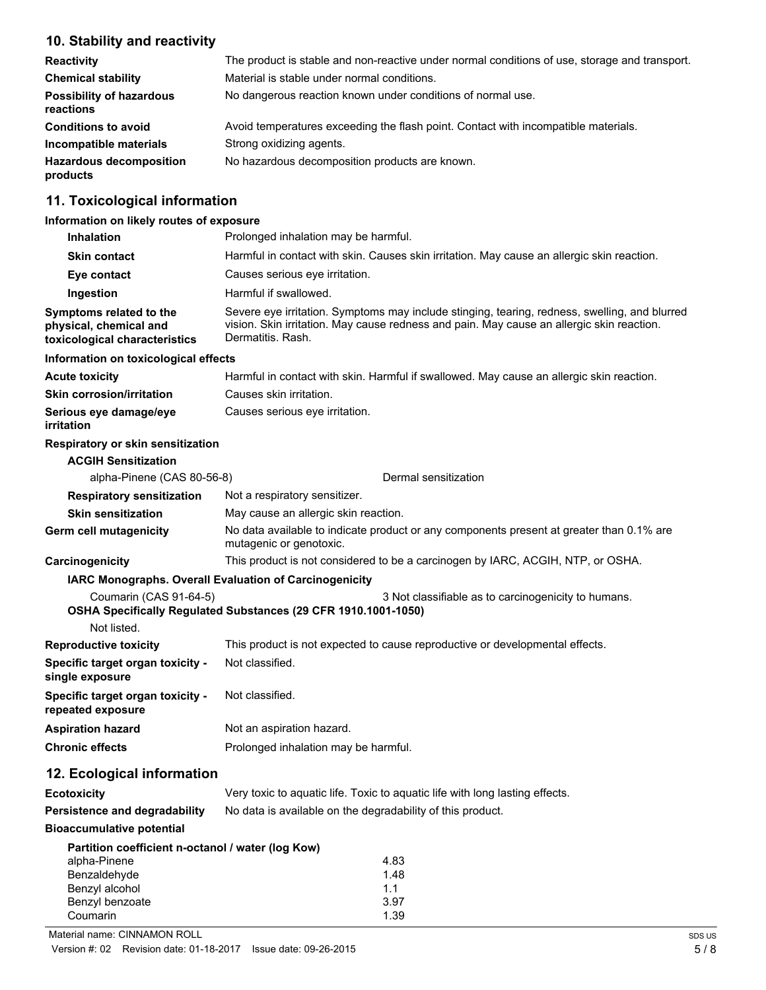# **10. Stability and reactivity**

| <b>Reactivity</b>                            | The product is stable and non-reactive under normal conditions of use, storage and transport. |  |
|----------------------------------------------|-----------------------------------------------------------------------------------------------|--|
| <b>Chemical stability</b>                    | Material is stable under normal conditions.                                                   |  |
| <b>Possibility of hazardous</b><br>reactions | No dangerous reaction known under conditions of normal use.                                   |  |
| <b>Conditions to avoid</b>                   | Avoid temperatures exceeding the flash point. Contact with incompatible materials.            |  |
| Incompatible materials                       | Strong oxidizing agents.                                                                      |  |
| <b>Hazardous decomposition</b><br>products   | No hazardous decomposition products are known.                                                |  |

# **11. Toxicological information**

# **Information on likely routes of exposure**

| <b>Inhalation</b>                                                                                                                  | Prolonged inhalation may be harmful.                                                                                                                                                                            |  |
|------------------------------------------------------------------------------------------------------------------------------------|-----------------------------------------------------------------------------------------------------------------------------------------------------------------------------------------------------------------|--|
| <b>Skin contact</b>                                                                                                                | Harmful in contact with skin. Causes skin irritation. May cause an allergic skin reaction.                                                                                                                      |  |
| Eye contact                                                                                                                        | Causes serious eye irritation.                                                                                                                                                                                  |  |
| Ingestion                                                                                                                          | Harmful if swallowed.                                                                                                                                                                                           |  |
| Symptoms related to the<br>physical, chemical and<br>toxicological characteristics                                                 | Severe eye irritation. Symptoms may include stinging, tearing, redness, swelling, and blurred<br>vision. Skin irritation. May cause redness and pain. May cause an allergic skin reaction.<br>Dermatitis. Rash. |  |
| Information on toxicological effects                                                                                               |                                                                                                                                                                                                                 |  |
| <b>Acute toxicity</b>                                                                                                              | Harmful in contact with skin. Harmful if swallowed. May cause an allergic skin reaction.                                                                                                                        |  |
| <b>Skin corrosion/irritation</b>                                                                                                   | Causes skin irritation.                                                                                                                                                                                         |  |
| Serious eye damage/eye<br>irritation                                                                                               | Causes serious eye irritation.                                                                                                                                                                                  |  |
| Respiratory or skin sensitization                                                                                                  |                                                                                                                                                                                                                 |  |
| <b>ACGIH Sensitization</b>                                                                                                         |                                                                                                                                                                                                                 |  |
| alpha-Pinene (CAS 80-56-8)                                                                                                         | Dermal sensitization                                                                                                                                                                                            |  |
| <b>Respiratory sensitization</b>                                                                                                   | Not a respiratory sensitizer.                                                                                                                                                                                   |  |
| <b>Skin sensitization</b>                                                                                                          | May cause an allergic skin reaction.                                                                                                                                                                            |  |
| Germ cell mutagenicity                                                                                                             | No data available to indicate product or any components present at greater than 0.1% are<br>mutagenic or genotoxic.                                                                                             |  |
| Carcinogenicity                                                                                                                    | This product is not considered to be a carcinogen by IARC, ACGIH, NTP, or OSHA.                                                                                                                                 |  |
|                                                                                                                                    | IARC Monographs. Overall Evaluation of Carcinogenicity                                                                                                                                                          |  |
| Coumarin (CAS 91-64-5)                                                                                                             | 3 Not classifiable as to carcinogenicity to humans.<br>OSHA Specifically Regulated Substances (29 CFR 1910.1001-1050)                                                                                           |  |
| Not listed.<br><b>Reproductive toxicity</b>                                                                                        | This product is not expected to cause reproductive or developmental effects.                                                                                                                                    |  |
| Specific target organ toxicity -<br>single exposure                                                                                | Not classified.                                                                                                                                                                                                 |  |
| Specific target organ toxicity -<br>repeated exposure                                                                              | Not classified.                                                                                                                                                                                                 |  |
| <b>Aspiration hazard</b>                                                                                                           | Not an aspiration hazard.                                                                                                                                                                                       |  |
| <b>Chronic effects</b>                                                                                                             | Prolonged inhalation may be harmful.                                                                                                                                                                            |  |
| 12. Ecological information                                                                                                         |                                                                                                                                                                                                                 |  |
| <b>Ecotoxicity</b>                                                                                                                 | Very toxic to aquatic life. Toxic to aquatic life with long lasting effects.                                                                                                                                    |  |
| Persistence and degradability                                                                                                      | No data is available on the degradability of this product.                                                                                                                                                      |  |
| <b>Bioaccumulative potential</b>                                                                                                   |                                                                                                                                                                                                                 |  |
| Partition coefficient n-octanol / water (log Kow)<br>alpha-Pinene<br>Benzaldehyde<br>Benzyl alcohol<br>Benzyl benzoate<br>Coumarin | 4.83<br>1.48<br>1.1<br>3.97<br>1.39                                                                                                                                                                             |  |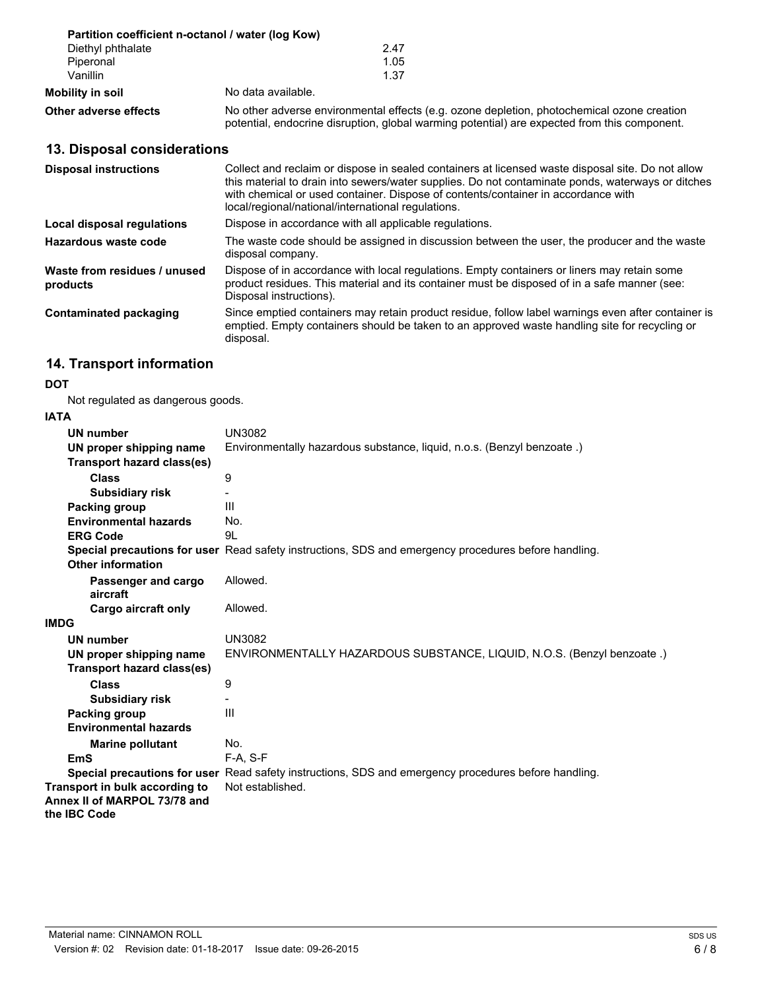|                       | Partition coefficient n-octanol / water (log Kow)                                                                                                                                          |  |
|-----------------------|--------------------------------------------------------------------------------------------------------------------------------------------------------------------------------------------|--|
| Diethyl phthalate     | 2.47                                                                                                                                                                                       |  |
| Piperonal             | 1.05                                                                                                                                                                                       |  |
| Vanillin              | 1.37                                                                                                                                                                                       |  |
| Mobility in soil      | No data available.                                                                                                                                                                         |  |
| Other adverse effects | No other adverse environmental effects (e.g. ozone depletion, photochemical ozone creation<br>potential, endocrine disruption, global warming potential) are expected from this component. |  |

# **13. Disposal considerations**

| <b>Disposal instructions</b>             | Collect and reclaim or dispose in sealed containers at licensed waste disposal site. Do not allow<br>this material to drain into sewers/water supplies. Do not contaminate ponds, waterways or ditches<br>with chemical or used container. Dispose of contents/container in accordance with<br>local/regional/national/international regulations. |
|------------------------------------------|---------------------------------------------------------------------------------------------------------------------------------------------------------------------------------------------------------------------------------------------------------------------------------------------------------------------------------------------------|
| Local disposal regulations               | Dispose in accordance with all applicable regulations.                                                                                                                                                                                                                                                                                            |
| Hazardous waste code                     | The waste code should be assigned in discussion between the user, the producer and the waste<br>disposal company.                                                                                                                                                                                                                                 |
| Waste from residues / unused<br>products | Dispose of in accordance with local regulations. Empty containers or liners may retain some<br>product residues. This material and its container must be disposed of in a safe manner (see:<br>Disposal instructions).                                                                                                                            |
| <b>Contaminated packaging</b>            | Since emptied containers may retain product residue, follow label warnings even after container is<br>emptied. Empty containers should be taken to an approved waste handling site for recycling or<br>disposal.                                                                                                                                  |

# **14. Transport information**

#### **DOT**

Not regulated as dangerous goods.

#### **IATA**

| <b>UN number</b>                  | UN3082                                                                                               |
|-----------------------------------|------------------------------------------------------------------------------------------------------|
| UN proper shipping name           | Environmentally hazardous substance, liquid, n.o.s. (Benzyl benzoate.)                               |
| <b>Transport hazard class(es)</b> |                                                                                                      |
| Class                             | 9                                                                                                    |
| <b>Subsidiary risk</b>            |                                                                                                      |
| Packing group                     | Ш                                                                                                    |
| <b>Environmental hazards</b>      | No.                                                                                                  |
| <b>ERG Code</b>                   | 9L                                                                                                   |
| <b>Other information</b>          | Special precautions for user Read safety instructions, SDS and emergency procedures before handling. |
| Passenger and cargo<br>aircraft   | Allowed.                                                                                             |
| Cargo aircraft only               | Allowed.                                                                                             |
| <b>IMDG</b>                       |                                                                                                      |
| <b>UN number</b>                  | <b>UN3082</b>                                                                                        |
| UN proper shipping name           | ENVIRONMENTALLY HAZARDOUS SUBSTANCE, LIQUID, N.O.S. (Benzyl benzoate.)                               |
| Transport hazard class(es)        |                                                                                                      |
| <b>Class</b>                      | 9                                                                                                    |
| <b>Subsidiary risk</b>            |                                                                                                      |
| Packing group                     | III                                                                                                  |
| <b>Environmental hazards</b>      |                                                                                                      |
| <b>Marine pollutant</b>           | No.                                                                                                  |
| <b>EmS</b>                        | $F-A. S-F$                                                                                           |
| Special precautions for user      | Read safety instructions, SDS and emergency procedures before handling.                              |
| Transport in bulk according to    | Not established.                                                                                     |
| Annex II of MARPOL 73/78 and      |                                                                                                      |
| the IBC Code                      |                                                                                                      |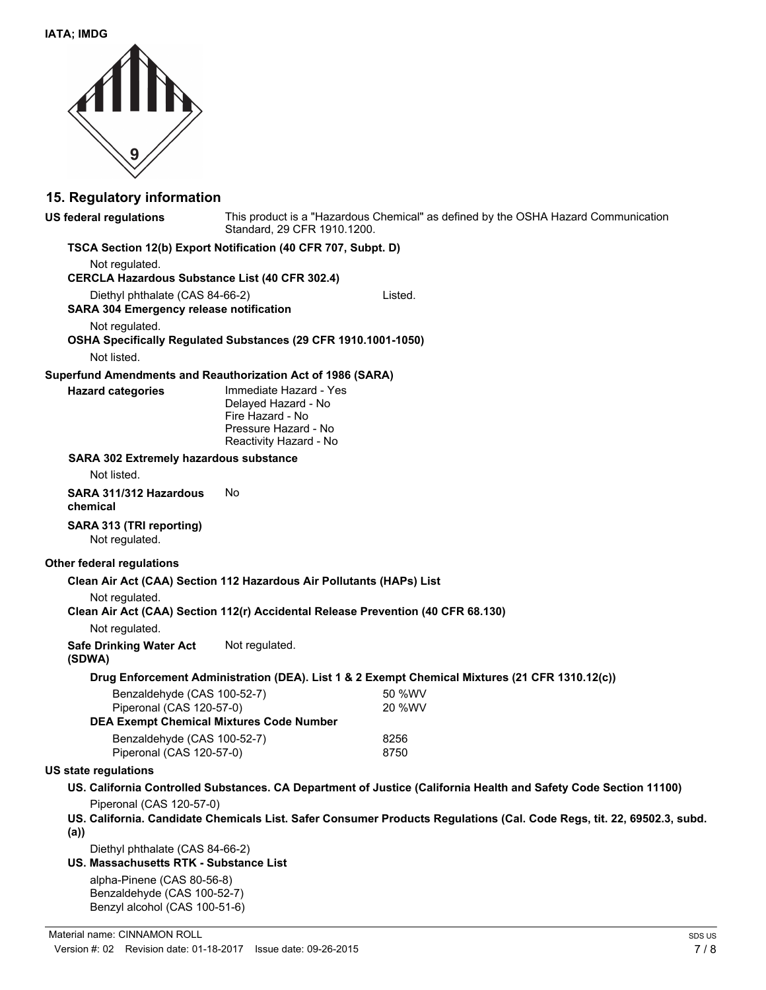

### **15. Regulatory information**

**US federal regulations**

This product is a "Hazardous Chemical" as defined by the OSHA Hazard Communication Standard, 29 CFR 1910.1200.

#### **TSCA Section 12(b) Export Notification (40 CFR 707, Subpt. D)**

Not regulated. **CERCLA Hazardous Substance List (40 CFR 302.4)** Diethyl phthalate (CAS 84-66-2) Listed. **SARA 304 Emergency release notification** Not regulated. **OSHA Specifically Regulated Substances (29 CFR 1910.1001-1050)** Not listed. **Superfund Amendments and Reauthorization Act of 1986 (SARA)** Immediate Hazard - Yes **Hazard categories**

Delayed Hazard - No Fire Hazard - No Pressure Hazard - No Reactivity Hazard - No

#### **SARA 302 Extremely hazardous substance**

Not listed.

**SARA 311/312 Hazardous** No **chemical**

# **SARA 313 (TRI reporting)**

Not regulated.

#### **Other federal regulations**

#### **Clean Air Act (CAA) Section 112 Hazardous Air Pollutants (HAPs) List**

Not regulated.

**Clean Air Act (CAA) Section 112(r) Accidental Release Prevention (40 CFR 68.130)**

Not regulated.

**Safe Drinking Water Act** Not regulated.

#### **(SDWA)**

#### **Drug Enforcement Administration (DEA). List 1 & 2 Exempt Chemical Mixtures (21 CFR 1310.12(c))**

| Benzaldehyde (CAS 100-52-7)                                                 | 50 %WV |
|-----------------------------------------------------------------------------|--------|
| Piperonal (CAS 120-57-0)<br><b>DEA Exempt Chemical Mixtures Code Number</b> | 20 %WV |
| Benzaldehyde (CAS 100-52-7)                                                 | 8256   |
| Piperonal (CAS 120-57-0)                                                    | 8750   |

#### **US state regulations**

- **US. California Controlled Substances. CA Department of Justice (California Health and Safety Code Section 11100)** Piperonal (CAS 120-57-0)
- **US. California. Candidate Chemicals List. Safer Consumer Products Regulations (Cal. Code Regs, tit. 22, 69502.3, subd. (a))**

Diethyl phthalate (CAS 84-66-2)

**US. Massachusetts RTK - Substance List**

alpha-Pinene (CAS 80-56-8) Benzaldehyde (CAS 100-52-7) Benzyl alcohol (CAS 100-51-6)